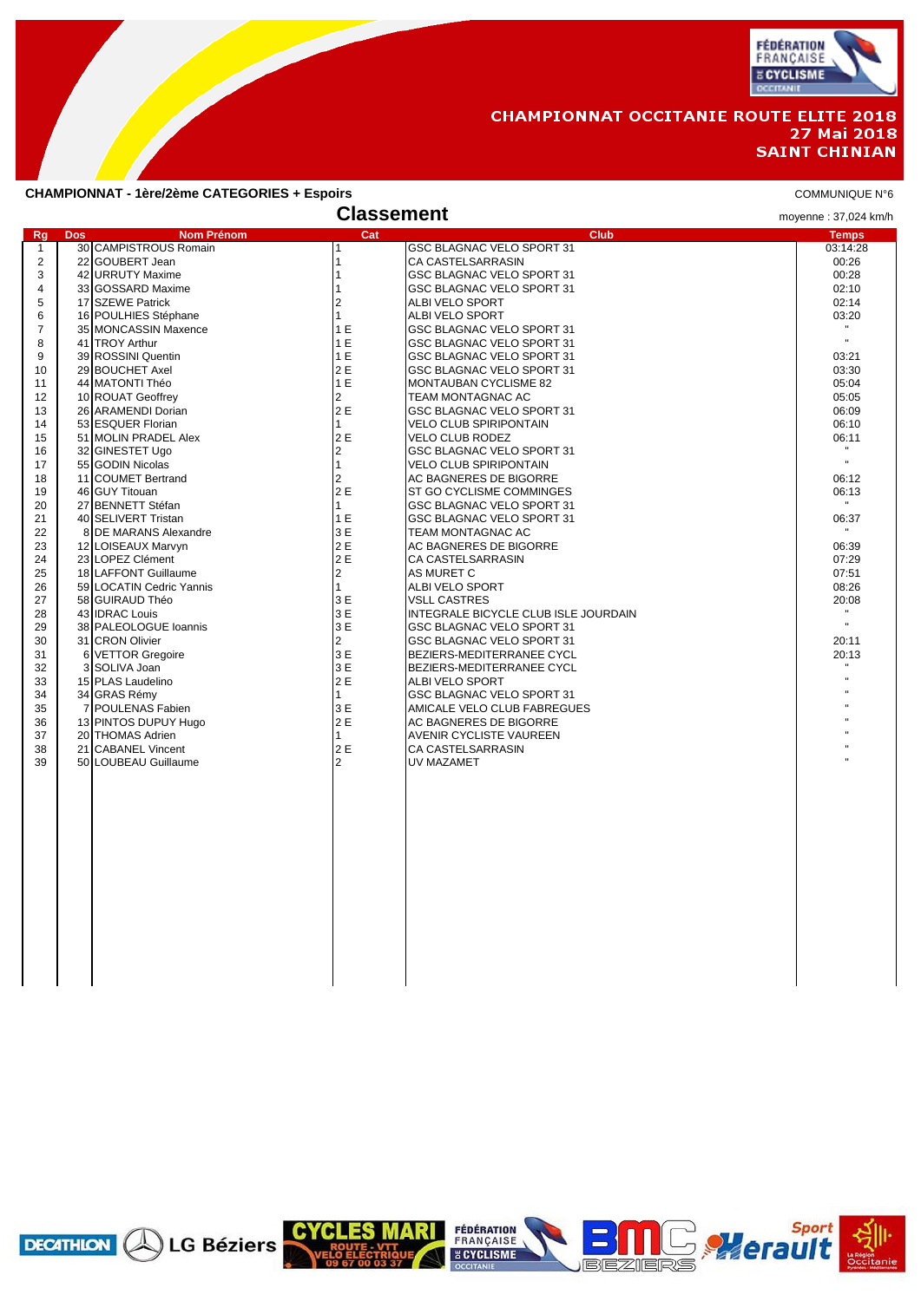

## **CHAMPIONNAT OCCITANIE ROUTE ELITE 2018** 27 Mai 2018 **SAINT CHINIAN**

### **CHAMPIONNAT - 1ère/2ème CATEGORIES + Espoirs** COMMUNIQUE N°6

|                |                                       | <b>Classement</b>   |                                                        | moyenne: 37,024 km/h  |
|----------------|---------------------------------------|---------------------|--------------------------------------------------------|-----------------------|
| Rg             | <b>Nom Prénom</b><br><b>Dos</b>       | Cat                 | <b>Club</b>                                            | <b>Temps</b>          |
| $\mathbf{1}$   | 30 CAMPISTROUS Romain                 |                     | GSC BLAGNAC VELO SPORT 31                              | 03:14:28              |
| 2              | 22 GOUBERT Jean                       | 1                   | CA CASTELSARRASIN                                      | 00:26                 |
| 3              | 42 URRUTY Maxime                      | $\mathbf{1}$        | GSC BLAGNAC VELO SPORT 31                              | 00:28                 |
| $\overline{4}$ | 33 GOSSARD Maxime                     | 1                   | GSC BLAGNAC VELO SPORT 31                              | 02:10                 |
| 5              | 17 SZEWE Patrick                      | $\overline{2}$      | ALBI VELO SPORT                                        | 02:14                 |
| 6              | 16 POULHIES Stéphane                  | $\mathbf{1}$        | ALBI VELO SPORT                                        | 03:20<br>$\mathbf{H}$ |
| $\overline{7}$ | 35 MONCASSIN Maxence                  | 1 E                 | GSC BLAGNAC VELO SPORT 31                              | $\mathbf{u}$          |
| 8<br>9         | 41 TROY Arthur                        | 1E<br>1E            | GSC BLAGNAC VELO SPORT 31                              |                       |
| 10             | 39 ROSSINI Quentin<br>29 BOUCHET Axel | 2 E                 | GSC BLAGNAC VELO SPORT 31<br>GSC BLAGNAC VELO SPORT 31 | 03:21<br>03:30        |
| 11             | 44 MATONTI Théo                       | 1E                  | MONTAUBAN CYCLISME 82                                  | 05:04                 |
| 12             | 10 ROUAT Geoffrey                     | $\overline{2}$      | TEAM MONTAGNAC AC                                      | 05:05                 |
| 13             | 26 ARAMENDI Dorian                    | 2 E                 | GSC BLAGNAC VELO SPORT 31                              | 06:09                 |
| 14             | 53 ESQUER Florian                     | $\mathbf{1}$        | <b>VELO CLUB SPIRIPONTAIN</b>                          | 06:10                 |
| 15             | 51 MOLIN PRADEL Alex                  | 2 E                 | VELO CLUB RODEZ                                        | 06:11                 |
| 16             | 32 GINESTET Ugo                       | 2                   | GSC BLAGNAC VELO SPORT 31                              | $\mathbf{H}$ .        |
| 17             | 55 GODIN Nicolas                      | $\mathbf{1}$        | <b>VELO CLUB SPIRIPONTAIN</b>                          | $\mathbf{u}$          |
| 18             | 11 COUMET Bertrand                    | $\overline{2}$      | AC BAGNERES DE BIGORRE                                 | 06:12                 |
| 19             | 46 GUY Titouan                        | 2 E                 | ST GO CYCLISME COMMINGES                               | 06:13                 |
| 20             | 27 BENNETT Stéfan                     | $\mathbf{1}$        | GSC BLAGNAC VELO SPORT 31                              | $\mathbf{H}$          |
| 21             | 40 SELIVERT Tristan                   | 1E                  | GSC BLAGNAC VELO SPORT 31                              | 06:37                 |
| 22             | 8 DE MARANS Alexandre                 | 3 E                 | TEAM MONTAGNAC AC                                      |                       |
| 23             | 12 LOISEAUX Marvyn                    | 2 E                 | AC BAGNERES DE BIGORRE                                 | 06:39                 |
| 24             | 23 LOPEZ Clément                      | 2E                  | CA CASTELSARRASIN                                      | 07:29                 |
| 25             | 18 LAFFONT Guillaume                  | $\overline{2}$      | AS MURET C                                             | 07:51                 |
| 26             | 59 LOCATIN Cedric Yannis              | $\mathbf{1}$        | ALBI VELO SPORT                                        | 08:26                 |
| 27             | 58 GUIRAUD Théo                       | 3 E                 | <b>VSLL CASTRES</b>                                    | 20:08                 |
| 28             | 43 IDRAC Louis                        | 3 E                 | INTEGRALE BICYCLE CLUB ISLE JOURDAIN                   | $\mathbf{H}$          |
| 29             | 38 PALEOLOGUE Ioannis                 | 3 E                 | GSC BLAGNAC VELO SPORT 31                              | $\mathbf{H}$          |
| 30             | 31 CRON Olivier                       | $\overline{2}$      | GSC BLAGNAC VELO SPORT 31                              | 20:11                 |
| 31             | 6 VETTOR Gregoire                     | 3 E                 | BEZIERS-MEDITERRANEE CYCL                              | 20:13<br>$\mathbf{H}$ |
| 32             | 3 SOLIVA Joan                         | 3 E                 | BEZIERS-MEDITERRANEE CYCL                              |                       |
| 33<br>34       | 15 PLAS Laudelino<br>34 GRAS Rémy     | 2 E<br>$\mathbf{1}$ | ALBI VELO SPORT<br>GSC BLAGNAC VELO SPORT 31           |                       |
| 35             | 7 POULENAS Fabien                     | 3 E                 | AMICALE VELO CLUB FABREGUES                            |                       |
| 36             | 13 PINTOS DUPUY Hugo                  | 2 E                 | AC BAGNERES DE BIGORRE                                 |                       |
| 37             | 20 THOMAS Adrien                      | $\mathbf{1}$        | AVENIR CYCLISTE VAUREEN                                |                       |
| 38             | 21 CABANEL Vincent                    | 2 E                 | CA CASTELSARRASIN                                      |                       |
| 39             | 50 LOUBEAU Guillaume                  | $\overline{2}$      | UV MAZAMET                                             |                       |
|                |                                       |                     |                                                        |                       |
|                |                                       |                     |                                                        |                       |
|                |                                       |                     |                                                        |                       |
|                |                                       |                     |                                                        |                       |
|                |                                       |                     |                                                        |                       |
|                |                                       |                     |                                                        |                       |
|                |                                       |                     |                                                        |                       |
|                |                                       |                     |                                                        |                       |
|                |                                       |                     |                                                        |                       |
|                |                                       |                     |                                                        |                       |
|                |                                       |                     |                                                        |                       |
|                |                                       |                     |                                                        |                       |
|                |                                       |                     |                                                        |                       |
|                |                                       |                     |                                                        |                       |
|                |                                       |                     |                                                        |                       |
|                |                                       |                     |                                                        |                       |